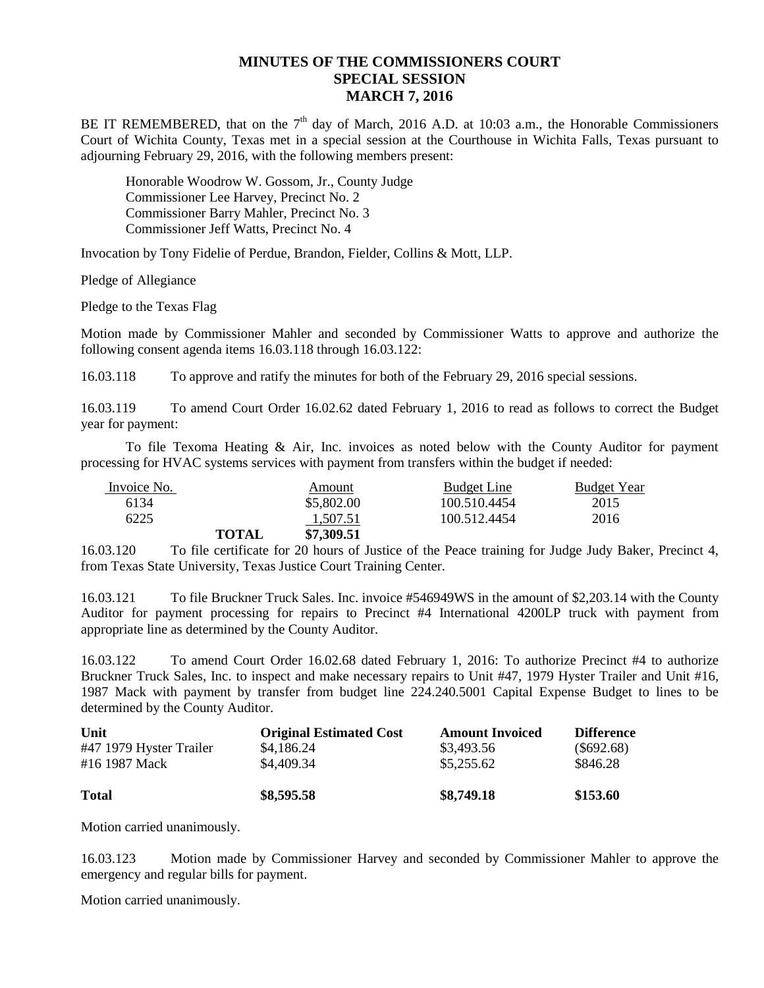## **MINUTES OF THE COMMISSIONERS COURT SPECIAL SESSION MARCH 7, 2016**

BE IT REMEMBERED, that on the  $7<sup>th</sup>$  day of March, 2016 A.D. at 10:03 a.m., the Honorable Commissioners Court of Wichita County, Texas met in a special session at the Courthouse in Wichita Falls, Texas pursuant to adjourning February 29, 2016, with the following members present:

Honorable Woodrow W. Gossom, Jr., County Judge Commissioner Lee Harvey, Precinct No. 2 Commissioner Barry Mahler, Precinct No. 3 Commissioner Jeff Watts, Precinct No. 4

Invocation by Tony Fidelie of Perdue, Brandon, Fielder, Collins & Mott, LLP.

Pledge of Allegiance

Pledge to the Texas Flag

Motion made by Commissioner Mahler and seconded by Commissioner Watts to approve and authorize the following consent agenda items 16.03.118 through 16.03.122:

16.03.118 To approve and ratify the minutes for both of the February 29, 2016 special sessions.

16.03.119 To amend Court Order 16.02.62 dated February 1, 2016 to read as follows to correct the Budget year for payment:

To file Texoma Heating & Air, Inc. invoices as noted below with the County Auditor for payment processing for HVAC systems services with payment from transfers within the budget if needed:

| Invoice No. |              | Amount     | <b>Budget Line</b> | <b>Budget Year</b> |
|-------------|--------------|------------|--------------------|--------------------|
| 6134        |              | \$5,802.00 | 100.510.4454       | 2015               |
| 6225        |              | 1.507.51   | 100.512.4454       | 2016               |
|             | <b>TOTAL</b> | \$7,309.51 |                    |                    |

16.03.120 To file certificate for 20 hours of Justice of the Peace training for Judge Judy Baker, Precinct 4, from Texas State University, Texas Justice Court Training Center.

16.03.121 To file Bruckner Truck Sales. Inc. invoice #546949WS in the amount of \$2,203.14 with the County Auditor for payment processing for repairs to Precinct #4 International 4200LP truck with payment from appropriate line as determined by the County Auditor.

16.03.122 To amend Court Order 16.02.68 dated February 1, 2016: To authorize Precinct #4 to authorize Bruckner Truck Sales, Inc. to inspect and make necessary repairs to Unit #47, 1979 Hyster Trailer and Unit #16, 1987 Mack with payment by transfer from budget line 224.240.5001 Capital Expense Budget to lines to be determined by the County Auditor.

| Unit                    | <b>Original Estimated Cost</b> | <b>Amount Invoiced</b> | <b>Difference</b> |
|-------------------------|--------------------------------|------------------------|-------------------|
| #47 1979 Hyster Trailer | \$4,186.24                     | \$3,493.56             | $(\$692.68)$      |
| #16 1987 Mack           | \$4,409.34                     | \$5,255.62             | \$846.28          |
| <b>Total</b>            | \$8,595.58                     | \$8,749.18             | \$153.60          |

Motion carried unanimously.

16.03.123 Motion made by Commissioner Harvey and seconded by Commissioner Mahler to approve the emergency and regular bills for payment.

Motion carried unanimously.